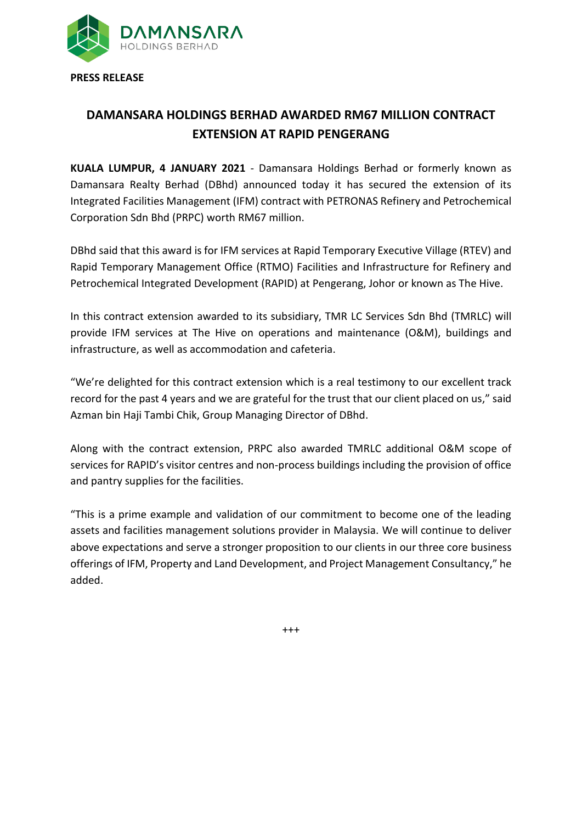

## **DAMANSARA HOLDINGS BERHAD AWARDED RM67 MILLION CONTRACT EXTENSION AT RAPID PENGERANG**

**KUALA LUMPUR, 4 JANUARY 2021** - Damansara Holdings Berhad or formerly known as Damansara Realty Berhad (DBhd) announced today it has secured the extension of its Integrated Facilities Management (IFM) contract with PETRONAS Refinery and Petrochemical Corporation Sdn Bhd (PRPC) worth RM67 million.

DBhd said that this award is for IFM services at Rapid Temporary Executive Village (RTEV) and Rapid Temporary Management Office (RTMO) Facilities and Infrastructure for Refinery and Petrochemical Integrated Development (RAPID) at Pengerang, Johor or known as The Hive.

In this contract extension awarded to its subsidiary, TMR LC Services Sdn Bhd (TMRLC) will provide IFM services at The Hive on operations and maintenance (O&M), buildings and infrastructure, as well as accommodation and cafeteria.

"We're delighted for this contract extension which is a real testimony to our excellent track record for the past 4 years and we are grateful for the trust that our client placed on us," said Azman bin Haji Tambi Chik, Group Managing Director of DBhd.

Along with the contract extension, PRPC also awarded TMRLC additional O&M scope of services for RAPID's visitor centres and non-process buildings including the provision of office and pantry supplies for the facilities.

"This is a prime example and validation of our commitment to become one of the leading assets and facilities management solutions provider in Malaysia. We will continue to deliver above expectations and serve a stronger proposition to our clients in our three core business offerings of IFM, Property and Land Development, and Project Management Consultancy," he added.

 $+++$